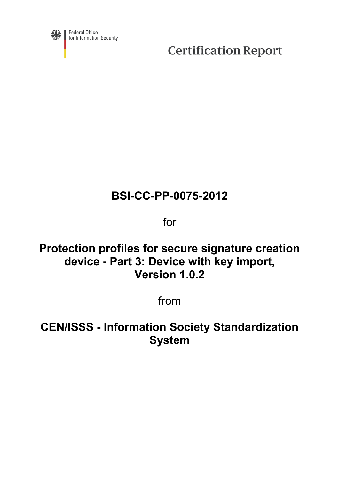

**Certification Report** 

# **BSI-CC-PP-0075-2012**

for

# **Protection profiles for secure signature creation device - Part 3: Device with key import, Version 1.0.2**

from

# **CEN/ISSS - Information Society Standardization System**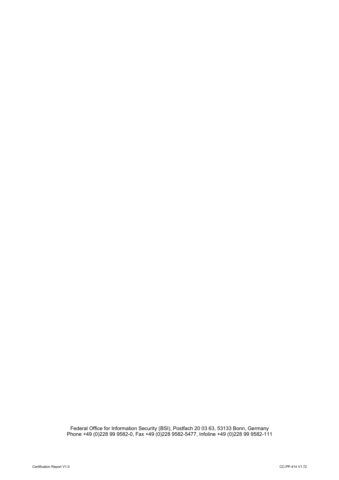Federal Office for Information Security (BSI), Postfach 20 03 63, 53133 Bonn, Germany Phone +49 (0)228 99 9582-0, Fax +49 (0)228 9582-5477, Infoline +49 (0)228 99 9582-111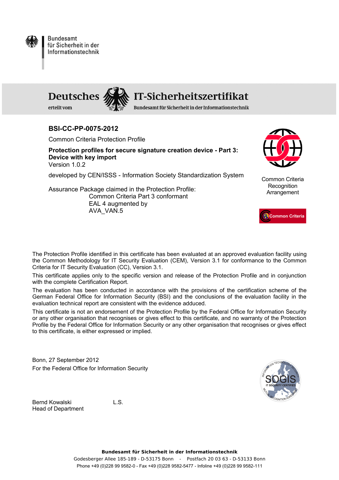

**Bundesamt** für Sicherheit in der Informationstechnik

**Deutsches** 

erteilt vom



# IT-Sicherheitszertifikat

Bundesamt für Sicherheit in der Informationstechnik

## **BSI-CC-PP-0075-2012**

Common Criteria Protection Profile

**Protection profiles for secure signature creation device - Part 3: Device with key import** Version 1.0.2

developed by CEN/ISSS - Information Society Standardization System

Assurance Package claimed in the Protection Profile: Common Criteria Part 3 conformant EAL 4 augmented by AVA\_VAN.5



Common Criteria **Recognition** Arrangement



The Protection Profile identified in this certificate has been evaluated at an approved evaluation facility using the Common Methodology for IT Security Evaluation (CEM), Version 3.1 for conformance to the Common Criteria for IT Security Evaluation (CC), Version 3.1.

This certificate applies only to the specific version and release of the Protection Profile and in conjunction with the complete Certification Report.

The evaluation has been conducted in accordance with the provisions of the certification scheme of the German Federal Office for Information Security (BSI) and the conclusions of the evaluation facility in the evaluation technical report are consistent with the evidence adduced.

This certificate is not an endorsement of the Protection Profile by the Federal Office for Information Security or any other organisation that recognises or gives effect to this certificate, and no warranty of the Protection Profile by the Federal Office for Information Security or any other organisation that recognises or gives effect to this certificate, is either expressed or implied.

Bonn, 27 September 2012 For the Federal Office for Information Security



Bernd Kowalski **L.S.** Head of Department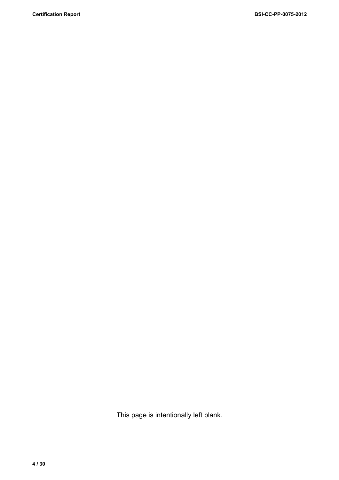This page is intentionally left blank.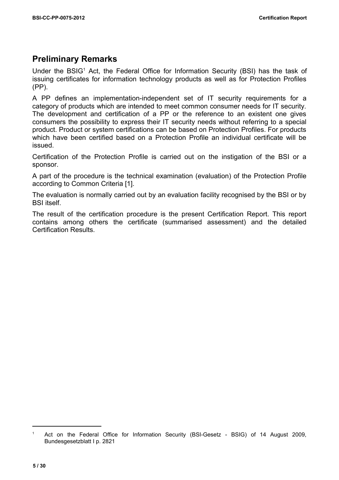# **Preliminary Remarks**

Under the BSIG<sup>[1](#page-4-0)</sup> Act, the Federal Office for Information Security (BSI) has the task of issuing certificates for information technology products as well as for Protection Profiles (PP).

A PP defines an implementation-independent set of IT security requirements for a category of products which are intended to meet common consumer needs for IT security. The development and certification of a PP or the reference to an existent one gives consumers the possibility to express their IT security needs without referring to a special product. Product or system certifications can be based on Protection Profiles. For products which have been certified based on a Protection Profile an individual certificate will be issued.

Certification of the Protection Profile is carried out on the instigation of the BSI or a sponsor.

A part of the procedure is the technical examination (evaluation) of the Protection Profile according to Common Criteria [1].

The evaluation is normally carried out by an evaluation facility recognised by the BSI or by BSI itself.

The result of the certification procedure is the present Certification Report. This report contains among others the certificate (summarised assessment) and the detailed Certification Results.

<span id="page-4-0"></span><sup>&</sup>lt;sup>1</sup> Act on the Federal Office for Information Security (BSI-Gesetz - BSIG) of 14 August 2009, Bundesgesetzblatt I p. 2821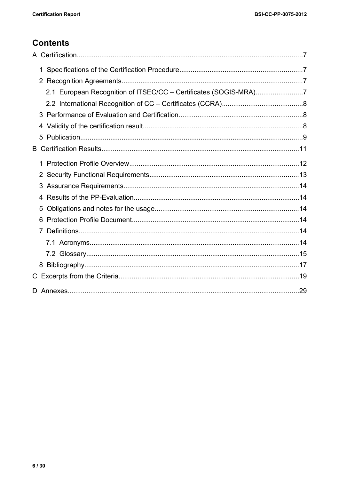# **Contents**

| 1 |                                                                  |  |
|---|------------------------------------------------------------------|--|
|   |                                                                  |  |
|   | 2.1 European Recognition of ITSEC/CC - Certificates (SOGIS-MRA)7 |  |
|   |                                                                  |  |
|   |                                                                  |  |
|   |                                                                  |  |
| 5 |                                                                  |  |
|   |                                                                  |  |
|   |                                                                  |  |
|   |                                                                  |  |
| 3 |                                                                  |  |
| 4 |                                                                  |  |
| 5 |                                                                  |  |
| 6 |                                                                  |  |
|   |                                                                  |  |
|   |                                                                  |  |
|   |                                                                  |  |
|   |                                                                  |  |
|   |                                                                  |  |
|   |                                                                  |  |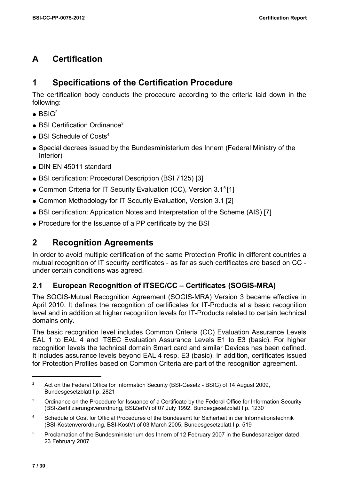# **A Certification**

# **1 Specifications of the Certification Procedure**

The certification body conducts the procedure according to the criteria laid down in the following:

- $\bullet$  BSIG<sup>[2](#page-6-0)</sup>
- $\bullet$  BSI Certification Ordinance<sup>[3](#page-6-1)</sup>
- $\bullet$  BSI Schedule of Costs<sup>[4](#page-6-2)</sup>
- Special decrees issued by the Bundesministerium des Innern (Federal Ministry of the Interior)
- DIN FN 45011 standard
- BSI certification: Procedural Description (BSI 7125) [3]
- Common Criteria for IT Security Evaluation (CC), Version 3.1<sup>[5](#page-6-3)</sup>[1]
- Common Methodology for IT Security Evaluation, Version 3.1 [2]
- BSI certification: Application Notes and Interpretation of the Scheme (AIS) [7]
- Procedure for the Issuance of a PP certificate by the BSI

# **2 Recognition Agreements**

In order to avoid multiple certification of the same Protection Profile in different countries a mutual recognition of IT security certificates - as far as such certificates are based on CC under certain conditions was agreed.

# **2.1 European Recognition of ITSEC/CC – Certificates (SOGIS-MRA)**

The SOGIS-Mutual Recognition Agreement (SOGIS-MRA) Version 3 became effective in April 2010. It defines the recognition of certificates for IT-Products at a basic recognition level and in addition at higher recognition levels for IT-Products related to certain technical domains only.

The basic recognition level includes Common Criteria (CC) Evaluation Assurance Levels EAL 1 to EAL 4 and ITSEC Evaluation Assurance Levels E1 to E3 (basic). For higher recognition levels the technical domain Smart card and similar Devices has been defined. It includes assurance levels beyond EAL 4 resp. E3 (basic). In addition, certificates issued for Protection Profiles based on Common Criteria are part of the recognition agreement.

<span id="page-6-0"></span><sup>&</sup>lt;sup>2</sup> Act on the Federal Office for Information Security (BSI-Gesetz - BSIG) of 14 August 2009, Bundesgesetzblatt I p. 2821

<span id="page-6-1"></span><sup>&</sup>lt;sup>3</sup> Ordinance on the Procedure for Issuance of a Certificate by the Federal Office for Information Security (BSI-Zertifizierungsverordnung, BSIZertV) of 07 July 1992, Bundesgesetzblatt I p. 1230

<span id="page-6-2"></span><sup>4</sup> Schedule of Cost for Official Procedures of the Bundesamt für Sicherheit in der Informationstechnik (BSI-Kostenverordnung, BSI-KostV) of 03 March 2005, Bundesgesetzblatt I p. 519

<span id="page-6-3"></span><sup>&</sup>lt;sup>5</sup> Proclamation of the Bundesministerium des Innern of 12 February 2007 in the Bundesanzeiger dated 23 February 2007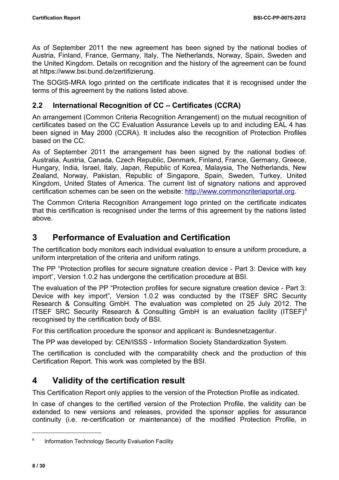As of September 2011 the new agreement has been signed by the national bodies of Austria, Finland, France, Germany, Italy, The Netherlands, Norway, Spain, Sweden and the United Kingdom. Details on recognition and the history of the agreement can be found at https://www.bsi.bund.de/zertifizierung.

The SOGIS-MRA logo printed on the certificate indicates that it is recognised under the terms of this agreement by the nations listed above.

## **2.2 International Recognition of CC – Certificates (CCRA)**

An arrangement (Common Criteria Recognition Arrangement) on the mutual recognition of certificates based on the CC Evaluation Assurance Levels up to and including EAL 4 has been signed in May 2000 (CCRA). It includes also the recognition of Protection Profiles based on the CC.

As of September 2011 the arrangement has been signed by the national bodies of: Australia, Austria, Canada, Czech Republic, Denmark, Finland, France, Germany, Greece, Hungary, India, Israel, Italy, Japan, Republic of Korea, Malaysia, The Netherlands, New Zealand, Norway, Pakistan, Republic of Singapore, Spain, Sweden, Turkey, United Kingdom, United States of America. The current list of signatory nations and approved certification schemes can be seen on the website: [http://www.commoncriteriaportal.org.](http://www.commoncriteriaportal.org/)

The Common Criteria Recognition Arrangement logo printed on the certificate indicates that this certification is recognised under the terms of this agreement by the nations listed above.

# **3 Performance of Evaluation and Certification**

The certification body monitors each individual evaluation to ensure a uniform procedure, a uniform interpretation of the criteria and uniform ratings.

The PP "Protection profiles for secure signature creation device - Part 3: Device with key import", Version 1.0.2 has undergone the certification procedure at BSI.

The evaluation of the PP "Protection profiles for secure signature creation device - Part 3: Device with key import", Version 1.0.2 was conducted by the ITSEF SRC Security Research & Consulting GmbH. The evaluation was completed on 25 July 2012. The ITSEF SRC Security Research & Consulting GmbH is an evaluation facility (ITSEF) $6$ recognised by the certification body of BSI.

For this certification procedure the sponsor and applicant is: Bundesnetzagentur.

The PP was developed by: CEN/ISSS - Information Society Standardization System.

The certification is concluded with the comparability check and the production of this Certification Report. This work was completed by the BSI.

# **4 Validity of the certification result**

This Certification Report only applies to the version of the Protection Profile as indicated.

In case of changes to the certified version of the Protection Profile, the validity can be extended to new versions and releases, provided the sponsor applies for assurance continuity (i.e. re-certification or maintenance) of the modified Protection Profile, in

<span id="page-7-0"></span><sup>6</sup> Information Technology Security Evaluation Facility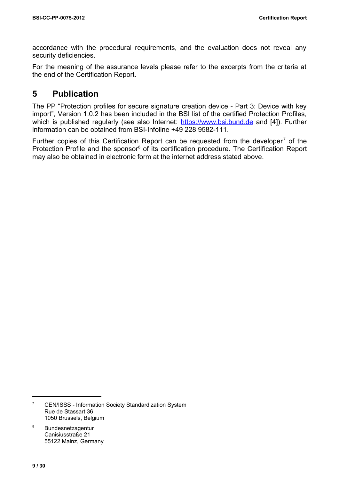accordance with the procedural requirements, and the evaluation does not reveal any security deficiencies.

For the meaning of the assurance levels please refer to the excerpts from the criteria at the end of the Certification Report.

# **5 Publication**

The PP "Protection profiles for secure signature creation device - Part 3: Device with key import", Version 1.0.2 has been included in the BSI list of the certified Protection Profiles, which is published regularly (see also Internet: [https://www.bsi.bund.de](https://www.bsi.bund.de/) and [4]). Further information can be obtained from BSI-Infoline +49 228 9582-111.

Further copies of this Certification Report can be requested from the developer<sup>[7](#page-8-0)</sup> of the Protection Profile and the sponsor<sup>[8](#page-8-1)</sup> of its certification procedure. The Certification Report may also be obtained in electronic form at the internet address stated above.

<span id="page-8-1"></span><sup>8</sup> Bundesnetzagentur Canisiusstraße 21 55122 Mainz, Germany

<span id="page-8-0"></span><sup>&</sup>lt;sup>7</sup> CEN/ISSS - Information Society Standardization System Rue de Stassart 36 1050 Brussels, Belgium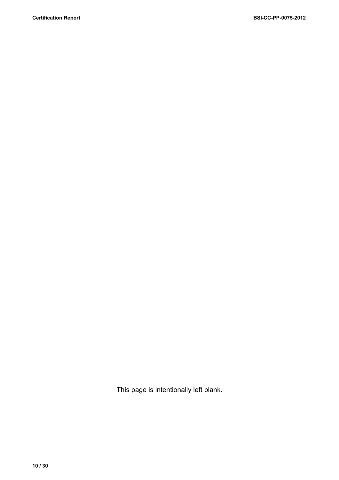This page is intentionally left blank.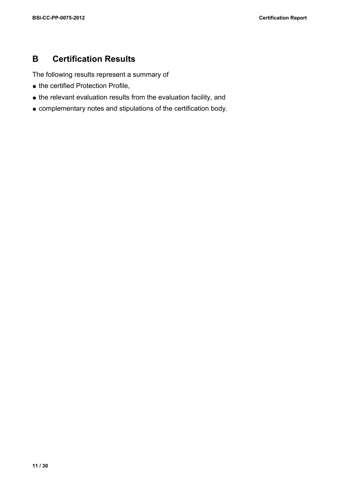# **B Certification Results**

The following results represent a summary of

- the certified Protection Profile,
- the relevant evaluation results from the evaluation facility, and
- complementary notes and stipulations of the certification body.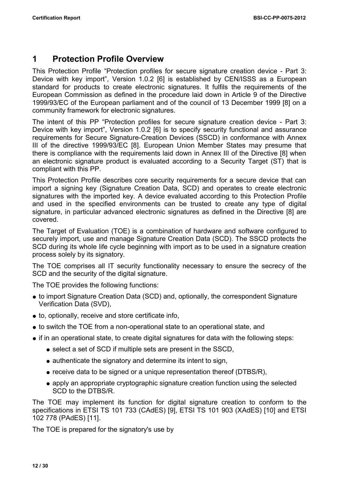# **1 Protection Profile Overview**

This Protection Profile "Protection profiles for secure signature creation device - Part 3: Device with key import", Version 1.0.2 [6] is established by CEN/ISSS as a European standard for products to create electronic signatures. It fulfils the requirements of the European Commission as defined in the procedure laid down in Article 9 of the Directive 1999/93/EC of the European parliament and of the council of 13 December 1999 [8] on a community framework for electronic signatures.

The intent of this PP "Protection profiles for secure signature creation device - Part 3: Device with key import", Version 1.0.2 [6] is to specify security functional and assurance requirements for Secure Signature-Creation Devices (SSCD) in conformance with Annex III of the directive 1999/93/EC [8]. European Union Member States may presume that there is compliance with the requirements laid down in Annex III of the Directive [8] when an electronic signature product is evaluated according to a Security Target (ST) that is compliant with this PP.

This Protection Profile describes core security requirements for a secure device that can import a signing key (Signature Creation Data, SCD) and operates to create electronic signatures with the imported key. A device evaluated according to this Protection Profile and used in the specified environments can be trusted to create any type of digital signature, in particular advanced electronic signatures as defined in the Directive [8] are covered.

The Target of Evaluation (TOE) is a combination of hardware and software configured to securely import, use and manage Signature Creation Data (SCD). The SSCD protects the SCD during its whole life cycle beginning with import as to be used in a signature creation process solely by its signatory.

The TOE comprises all IT security functionality necessary to ensure the secrecy of the SCD and the security of the digital signature.

The TOE provides the following functions:

- to import Signature Creation Data (SCD) and, optionally, the correspondent Signature Verification Data (SVD),
- to, optionally, receive and store certificate info,
- to switch the TOE from a non-operational state to an operational state, and
- if in an operational state, to create digital signatures for data with the following steps:
	- select a set of SCD if multiple sets are present in the SSCD,
	- authenticate the signatory and determine its intent to sign,
	- receive data to be signed or a unique representation thereof (DTBS/R),
	- apply an appropriate cryptographic signature creation function using the selected SCD to the DTBS/R.

The TOE may implement its function for digital signature creation to conform to the specifications in ETSI TS 101 733 (CAdES) [9], ETSI TS 101 903 (XAdES) [10] and ETSI 102 778 (PAdES) [11].

The TOE is prepared for the signatory's use by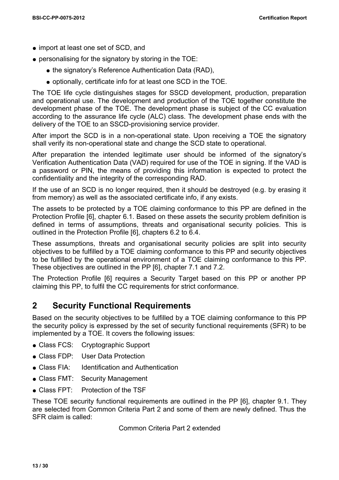- import at least one set of SCD, and
- personalising for the signatory by storing in the TOE:
	- the signatory's Reference Authentication Data (RAD),
	- optionally, certificate info for at least one SCD in the TOE.

The TOE life cycle distinguishes stages for SSCD development, production, preparation and operational use. The development and production of the TOE together constitute the development phase of the TOE. The development phase is subject of the CC evaluation according to the assurance life cycle (ALC) class. The development phase ends with the delivery of the TOE to an SSCD-provisioning service provider.

After import the SCD is in a non-operational state. Upon receiving a TOE the signatory shall verify its non-operational state and change the SCD state to operational.

After preparation the intended legitimate user should be informed of the signatory's Verification Authentication Data (VAD) required for use of the TOE in signing. If the VAD is a password or PIN, the means of providing this information is expected to protect the confidentiality and the integrity of the corresponding RAD.

If the use of an SCD is no longer required, then it should be destroyed (e.g. by erasing it from memory) as well as the associated certificate info, if any exists.

The assets to be protected by a TOE claiming conformance to this PP are defined in the Protection Profile [6], chapter 6.1. Based on these assets the security problem definition is defined in terms of assumptions, threats and organisational security policies. This is outlined in the Protection Profile [6], chapters 6.2 to 6.4.

These assumptions, threats and organisational security policies are split into security objectives to be fulfilled by a TOE claiming conformance to this PP and security objectives to be fulfilled by the operational environment of a TOE claiming conformance to this PP. These objectives are outlined in the PP [6], chapter 7.1 and 7.2.

The Protection Profile [6] requires a Security Target based on this PP or another PP claiming this PP, to fulfil the CC requirements for strict conformance.

# **2 Security Functional Requirements**

Based on the security objectives to be fulfilled by a TOE claiming conformance to this PP the security policy is expressed by the set of security functional requirements (SFR) to be implemented by a TOE. It covers the following issues:

- Class FCS: Cryptographic Support
- Class FDP: User Data Protection
- Class FIA: Identification and Authentication
- Class FMT: Security Management
- Class FPT: Protection of the TSF

These TOE security functional requirements are outlined in the PP [6], chapter 9.1. They are selected from Common Criteria Part 2 and some of them are newly defined. Thus the SFR claim is called:

Common Criteria Part 2 extended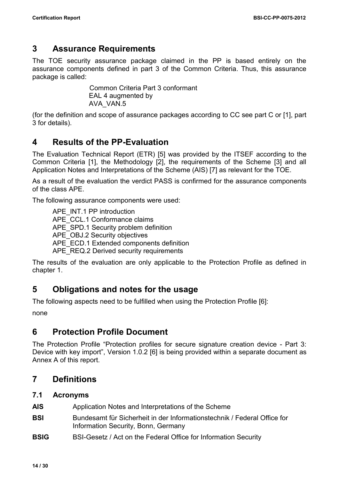# **3 Assurance Requirements**

The TOE security assurance package claimed in the PP is based entirely on the assurance components defined in part 3 of the Common Criteria. Thus, this assurance package is called:

> Common Criteria Part 3 conformant EAL 4 augmented by AVA\_VAN.5

(for the definition and scope of assurance packages according to CC see part C or [1], part 3 for details).

# **4 Results of the PP-Evaluation**

The Evaluation Technical Report (ETR) [5] was provided by the ITSEF according to the Common Criteria [1], the Methodology [2], the requirements of the Scheme [3] and all Application Notes and Interpretations of the Scheme (AIS) [7] as relevant for the TOE.

As a result of the evaluation the verdict PASS is confirmed for the assurance components of the class APE.

The following assurance components were used:

APE\_INT.1 PP introduction APE\_CCL.1 Conformance claims APE\_SPD.1 Security problem definition APE\_OBJ.2 Security objectives APE\_ECD.1 Extended components definition APE\_REQ.2 Derived security requirements

The results of the evaluation are only applicable to the Protection Profile as defined in chapter 1.

# **5 Obligations and notes for the usage**

The following aspects need to be fulfilled when using the Protection Profile [6]:

none

# **6 Protection Profile Document**

The Protection Profile "Protection profiles for secure signature creation device - Part 3: Device with key import", Version 1.0.2 [6] is being provided within a separate document as Annex A of this report.

## **7 Definitions**

## **7.1 Acronyms**

- **AIS** Application Notes and Interpretations of the Scheme
- **BSI** Bundesamt für Sicherheit in der Informationstechnik / Federal Office for Information Security, Bonn, Germany
- **BSIG** BSI-Gesetz / Act on the Federal Office for Information Security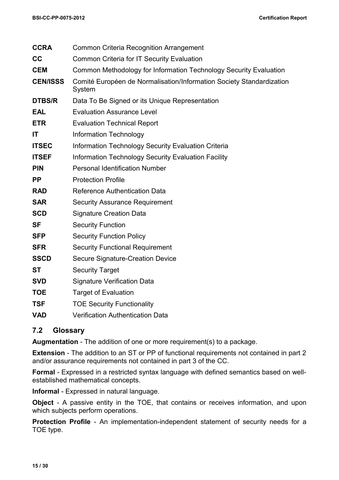| <b>CCRA</b>     | <b>Common Criteria Recognition Arrangement</b>                                 |
|-----------------|--------------------------------------------------------------------------------|
| cc              | <b>Common Criteria for IT Security Evaluation</b>                              |
| <b>CEM</b>      | Common Methodology for Information Technology Security Evaluation              |
| <b>CEN/ISSS</b> | Comité Européen de Normalisation/Information Society Standardization<br>System |
| <b>DTBS/R</b>   | Data To Be Signed or its Unique Representation                                 |
| <b>EAL</b>      | <b>Evaluation Assurance Level</b>                                              |
| <b>ETR</b>      | <b>Evaluation Technical Report</b>                                             |
| IT              | <b>Information Technology</b>                                                  |
| <b>ITSEC</b>    | Information Technology Security Evaluation Criteria                            |
| <b>ITSEF</b>    | <b>Information Technology Security Evaluation Facility</b>                     |
| <b>PIN</b>      | <b>Personal Identification Number</b>                                          |
| <b>PP</b>       | <b>Protection Profile</b>                                                      |
| <b>RAD</b>      | <b>Reference Authentication Data</b>                                           |
| <b>SAR</b>      | <b>Security Assurance Requirement</b>                                          |
| <b>SCD</b>      | <b>Signature Creation Data</b>                                                 |
| <b>SF</b>       | <b>Security Function</b>                                                       |
| <b>SFP</b>      | <b>Security Function Policy</b>                                                |
| <b>SFR</b>      | <b>Security Functional Requirement</b>                                         |
| <b>SSCD</b>     | <b>Secure Signature-Creation Device</b>                                        |
| <b>ST</b>       | <b>Security Target</b>                                                         |
| <b>SVD</b>      | <b>Signature Verification Data</b>                                             |
| <b>TOE</b>      | <b>Target of Evaluation</b>                                                    |
| <b>TSF</b>      | <b>TOE Security Functionality</b>                                              |
| <b>VAD</b>      | <b>Verification Authentication Data</b>                                        |

## **7.2 Glossary**

**Augmentation** - The addition of one or more requirement(s) to a package.

**Extension** - The addition to an ST or PP of functional requirements not contained in part 2 and/or assurance requirements not contained in part 3 of the CC.

**Formal** - Expressed in a restricted syntax language with defined semantics based on wellestablished mathematical concepts.

**Informal** - Expressed in natural language.

**Object** - A passive entity in the TOE, that contains or receives information, and upon which subjects perform operations.

**Protection Profile** - An implementation-independent statement of security needs for a TOE type.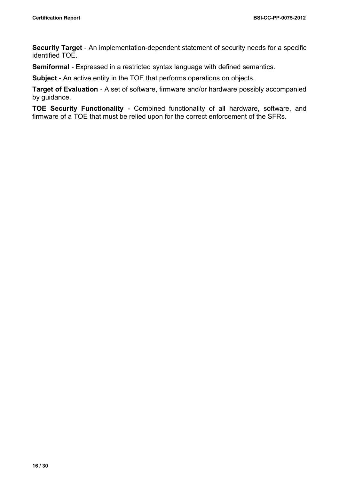**Security Target** - An implementation-dependent statement of security needs for a specific identified TOE.

**Semiformal** - Expressed in a restricted syntax language with defined semantics.

**Subject** - An active entity in the TOE that performs operations on objects.

**Target of Evaluation** - A set of software, firmware and/or hardware possibly accompanied by guidance.

**TOE Security Functionality** - Combined functionality of all hardware, software, and firmware of a TOE that must be relied upon for the correct enforcement of the SFRs.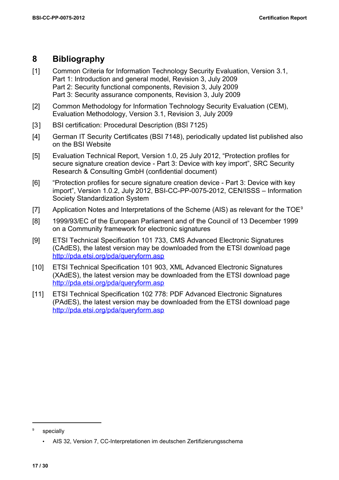## **8 Bibliography**

- [1] Common Criteria for Information Technology Security Evaluation, Version 3.1, Part 1: Introduction and general model, Revision 3, July 2009 Part 2: Security functional components, Revision 3, July 2009 Part 3: Security assurance components, Revision 3, July 2009
- [2] Common Methodology for Information Technology Security Evaluation (CEM), Evaluation Methodology, Version 3.1, Revision 3, July 2009
- [3] BSI certification: Procedural Description (BSI 7125)
- [4] German IT Security Certificates (BSI 7148), periodically updated list published also on the BSI Website
- [5] Evaluation Technical Report, Version 1.0, 25 July 2012, "Protection profiles for secure signature creation device - Part 3: Device with key import", SRC Security Research & Consulting GmbH (confidential document)
- [6] "Protection profiles for secure signature creation device Part 3: Device with key import", Version 1.0.2, July 2012, BSI-CC-PP-0075-2012, CEN/ISSS – Information Society Standardization System
- [7] Application Notes and Interpretations of the Scheme  $(AIS)$  as relevant for the TOE<sup>[9](#page-16-0)</sup>
- [8] 1999/93/EC of the European Parliament and of the Council of 13 December 1999 on a Community framework for electronic signatures
- [9] ETSI Technical Specification 101 733, CMS Advanced Electronic Signatures (CAdES), the latest version may be downloaded from the ETSI download page <http://pda.etsi.org/pda/queryform.asp>
- [10] ETSI Technical Specification 101 903, XML Advanced Electronic Signatures (XAdES), the latest version may be downloaded from the ETSI download page <http://pda.etsi.org/pda/queryform.asp>
- [11] ETSI Technical Specification 102 778: PDF Advanced Electronic Signatures (PAdES), the latest version may be downloaded from the ETSI download page <http://pda.etsi.org/pda/queryform.asp>

<span id="page-16-0"></span><sup>9</sup> specially

<sup>•</sup> AIS 32, Version 7, CC-Interpretationen im deutschen Zertifizierungsschema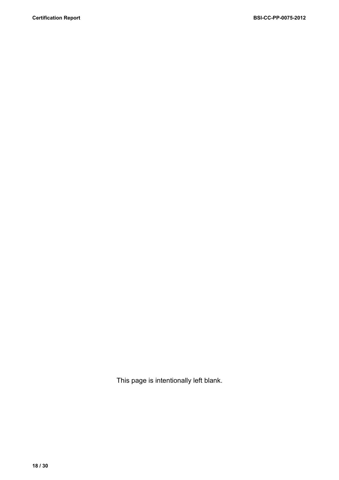This page is intentionally left blank.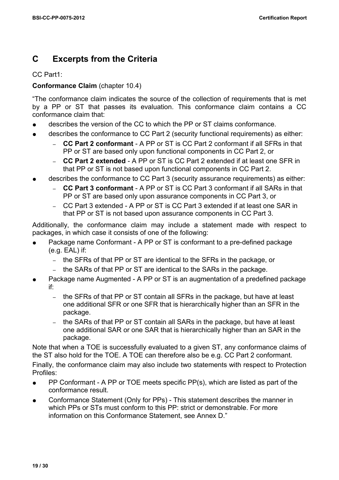# **C Excerpts from the Criteria**

CC Part1:

## **Conformance Claim** (chapter 10.4)

"The conformance claim indicates the source of the collection of requirements that is met by a PP or ST that passes its evaluation. This conformance claim contains a CC conformance claim that:

- describes the version of the CC to which the PP or ST claims conformance.
- describes the conformance to CC Part 2 (security functional requirements) as either:
	- **CC Part 2 conformant**  A PP or ST is CC Part 2 conformant if all SFRs in that PP or ST are based only upon functional components in CC Part 2, or
	- **CC Part 2 extended** A PP or ST is CC Part 2 extended if at least one SFR in that PP or ST is not based upon functional components in CC Part 2.
- describes the conformance to CC Part 3 (security assurance requirements) as either:
	- **CC Part 3 conformant** A PP or ST is CC Part 3 conformant if all SARs in that PP or ST are based only upon assurance components in CC Part 3, or
	- CC Part 3 extended A PP or ST is CC Part 3 extended if at least one SAR in that PP or ST is not based upon assurance components in CC Part 3.

Additionally, the conformance claim may include a statement made with respect to packages, in which case it consists of one of the following:

- Package name Conformant A PP or ST is conformant to a pre-defined package (e.g. EAL) if:
	- the SFRs of that PP or ST are identical to the SFRs in the package, or
	- the SARs of that PP or ST are identical to the SARs in the package.
- Package name Augmented A PP or ST is an augmentation of a predefined package if:
	- the SFRs of that PP or ST contain all SFRs in the package, but have at least one additional SFR or one SFR that is hierarchically higher than an SFR in the package.
	- the SARs of that PP or ST contain all SARs in the package, but have at least one additional SAR or one SAR that is hierarchically higher than an SAR in the package.

Note that when a TOE is successfully evaluated to a given ST, any conformance claims of the ST also hold for the TOE. A TOE can therefore also be e.g. CC Part 2 conformant. Finally, the conformance claim may also include two statements with respect to Protection Profiles:

- $\bullet$  PP Conformant A PP or TOE meets specific PP(s), which are listed as part of the conformance result.
- Conformance Statement (Only for PPs) This statement describes the manner in which PPs or STs must conform to this PP: strict or demonstrable. For more information on this Conformance Statement, see Annex D."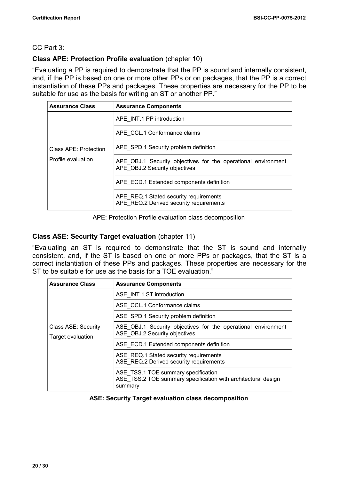### CC Part 3:

## **Class APE: Protection Profile evaluation** (chapter 10)

"Evaluating a PP is required to demonstrate that the PP is sound and internally consistent, and, if the PP is based on one or more other PPs or on packages, that the PP is a correct instantiation of these PPs and packages. These properties are necessary for the PP to be suitable for use as the basis for writing an ST or another PP."

| <b>Assurance Class</b> | <b>Assurance Components</b>                                                                    |  |  |  |  |
|------------------------|------------------------------------------------------------------------------------------------|--|--|--|--|
|                        | APE INT.1 PP introduction                                                                      |  |  |  |  |
|                        | APE CCL.1 Conformance claims                                                                   |  |  |  |  |
| Class APE: Protection  | APE SPD.1 Security problem definition                                                          |  |  |  |  |
| Profile evaluation     | APE OBJ.1 Security objectives for the operational environment<br>APE OBJ.2 Security objectives |  |  |  |  |
|                        | APE ECD.1 Extended components definition                                                       |  |  |  |  |
|                        | APE REQ.1 Stated security requirements<br>APE REQ.2 Derived security requirements              |  |  |  |  |

APE: Protection Profile evaluation class decomposition

## **Class ASE: Security Target evaluation** (chapter 11)

"Evaluating an ST is required to demonstrate that the ST is sound and internally consistent, and, if the ST is based on one or more PPs or packages, that the ST is a correct instantiation of these PPs and packages. These properties are necessary for the ST to be suitable for use as the basis for a TOE evaluation."

| <b>Assurance Class</b>                   | <b>Assurance Components</b>                                                                                     |  |  |  |  |
|------------------------------------------|-----------------------------------------------------------------------------------------------------------------|--|--|--|--|
|                                          | ASE INT.1 ST introduction                                                                                       |  |  |  |  |
|                                          | ASE CCL.1 Conformance claims                                                                                    |  |  |  |  |
|                                          | ASE SPD.1 Security problem definition                                                                           |  |  |  |  |
| Class ASE: Security<br>Target evaluation | ASE OBJ.1 Security objectives for the operational environment<br>ASE OBJ.2 Security objectives                  |  |  |  |  |
|                                          | ASE ECD.1 Extended components definition                                                                        |  |  |  |  |
|                                          | ASE REQ.1 Stated security requirements<br>ASE REQ.2 Derived security requirements                               |  |  |  |  |
|                                          | ASE TSS.1 TOE summary specification<br>ASE TSS.2 TOE summary specification with architectural design<br>summary |  |  |  |  |

#### **ASE: Security Target evaluation class decomposition**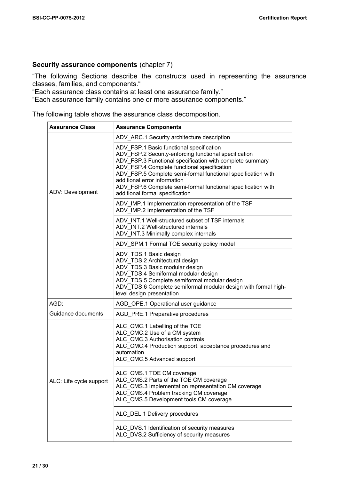#### **Security assurance components** (chapter 7)

"The following Sections describe the constructs used in representing the assurance classes, families, and components."

"Each assurance class contains at least one assurance family."

"Each assurance family contains one or more assurance components."

The following table shows the assurance class decomposition.

| <b>Assurance Class</b>  | <b>Assurance Components</b>                                                                                                                                                                                                                                                                                                                                                                                     |  |  |  |  |  |
|-------------------------|-----------------------------------------------------------------------------------------------------------------------------------------------------------------------------------------------------------------------------------------------------------------------------------------------------------------------------------------------------------------------------------------------------------------|--|--|--|--|--|
|                         | ADV ARC.1 Security architecture description                                                                                                                                                                                                                                                                                                                                                                     |  |  |  |  |  |
| ADV: Development        | ADV FSP.1 Basic functional specification<br>ADV_FSP.2 Security-enforcing functional specification<br>ADV_FSP.3 Functional specification with complete summary<br>ADV FSP.4 Complete functional specification<br>ADV_FSP.5 Complete semi-formal functional specification with<br>additional error information<br>ADV_FSP.6 Complete semi-formal functional specification with<br>additional formal specification |  |  |  |  |  |
|                         | ADV_IMP.1 Implementation representation of the TSF<br>ADV IMP.2 Implementation of the TSF                                                                                                                                                                                                                                                                                                                       |  |  |  |  |  |
|                         | ADV INT.1 Well-structured subset of TSF internals<br>ADV INT.2 Well-structured internals<br>ADV INT.3 Minimally complex internals                                                                                                                                                                                                                                                                               |  |  |  |  |  |
|                         | ADV_SPM.1 Formal TOE security policy model                                                                                                                                                                                                                                                                                                                                                                      |  |  |  |  |  |
|                         | ADV_TDS.1 Basic design<br>ADV_TDS.2 Architectural design<br>ADV TDS.3 Basic modular design<br>ADV TDS.4 Semiformal modular design<br>ADV_TDS.5 Complete semiformal modular design<br>ADV TDS.6 Complete semiformal modular design with formal high-<br>level design presentation                                                                                                                                |  |  |  |  |  |
| AGD:                    | AGD OPE.1 Operational user guidance                                                                                                                                                                                                                                                                                                                                                                             |  |  |  |  |  |
| Guidance documents      | AGD_PRE.1 Preparative procedures                                                                                                                                                                                                                                                                                                                                                                                |  |  |  |  |  |
|                         | ALC_CMC.1 Labelling of the TOE<br>ALC CMC.2 Use of a CM system<br>ALC CMC.3 Authorisation controls<br>ALC_CMC.4 Production support, acceptance procedures and<br>automation<br>ALC CMC.5 Advanced support                                                                                                                                                                                                       |  |  |  |  |  |
| ALC: Life cycle support | ALC_CMS.1 TOE CM coverage<br>ALC CMS.2 Parts of the TOE CM coverage<br>ALC_CMS.3 Implementation representation CM coverage<br>ALC_CMS.4 Problem tracking CM coverage<br>ALC_CMS.5 Development tools CM coverage                                                                                                                                                                                                 |  |  |  |  |  |
|                         | ALC_DEL.1 Delivery procedures                                                                                                                                                                                                                                                                                                                                                                                   |  |  |  |  |  |
|                         | ALC DVS.1 Identification of security measures<br>ALC_DVS.2 Sufficiency of security measures                                                                                                                                                                                                                                                                                                                     |  |  |  |  |  |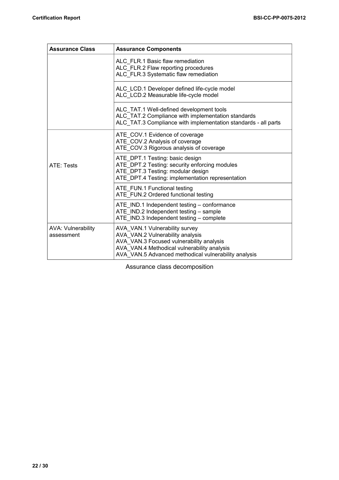| <b>Assurance Class</b>                  | <b>Assurance Components</b>                                                                                                                                                                                           |  |  |  |  |  |
|-----------------------------------------|-----------------------------------------------------------------------------------------------------------------------------------------------------------------------------------------------------------------------|--|--|--|--|--|
|                                         | ALC FLR.1 Basic flaw remediation<br>ALC FLR.2 Flaw reporting procedures<br>ALC FLR.3 Systematic flaw remediation                                                                                                      |  |  |  |  |  |
|                                         | ALC_LCD.1 Developer defined life-cycle model<br>ALC LCD.2 Measurable life-cycle model                                                                                                                                 |  |  |  |  |  |
|                                         | ALC TAT.1 Well-defined development tools<br>ALC TAT.2 Compliance with implementation standards<br>ALC_TAT.3 Compliance with implementation standards - all parts                                                      |  |  |  |  |  |
|                                         | ATE COV.1 Evidence of coverage<br>ATE COV.2 Analysis of coverage<br>ATE COV.3 Rigorous analysis of coverage                                                                                                           |  |  |  |  |  |
| ATE: Tests                              | ATE DPT.1 Testing: basic design<br>ATE DPT.2 Testing: security enforcing modules<br>ATE DPT.3 Testing: modular design<br>ATE DPT.4 Testing: implementation representation                                             |  |  |  |  |  |
|                                         | ATE FUN.1 Functional testing<br>ATE FUN.2 Ordered functional testing                                                                                                                                                  |  |  |  |  |  |
|                                         | ATE IND.1 Independent testing - conformance<br>ATE IND.2 Independent testing - sample<br>ATE IND.3 Independent testing - complete                                                                                     |  |  |  |  |  |
| <b>AVA: Vulnerability</b><br>assessment | AVA VAN.1 Vulnerability survey<br>AVA VAN.2 Vulnerability analysis<br>AVA VAN.3 Focused vulnerability analysis<br>AVA VAN.4 Methodical vulnerability analysis<br>AVA VAN.5 Advanced methodical vulnerability analysis |  |  |  |  |  |

Assurance class decomposition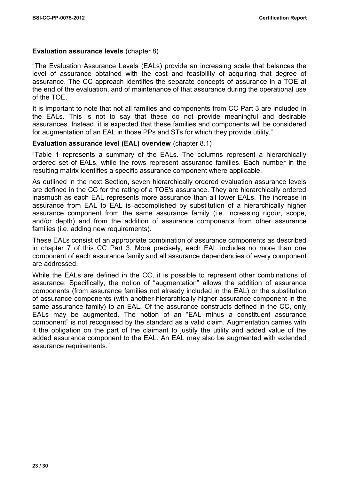### **Evaluation assurance levels** (chapter 8)

"The Evaluation Assurance Levels (EALs) provide an increasing scale that balances the level of assurance obtained with the cost and feasibility of acquiring that degree of assurance. The CC approach identifies the separate concepts of assurance in a TOE at the end of the evaluation, and of maintenance of that assurance during the operational use of the TOE.

It is important to note that not all families and components from CC Part 3 are included in the EALs. This is not to say that these do not provide meaningful and desirable assurances. Instead, it is expected that these families and components will be considered for augmentation of an EAL in those PPs and STs for which they provide utility."

#### **Evaluation assurance level (EAL) overview** (chapter 8.1)

"Table 1 represents a summary of the EALs. The columns represent a hierarchically ordered set of EALs, while the rows represent assurance families. Each number in the resulting matrix identifies a specific assurance component where applicable.

As outlined in the next Section, seven hierarchically ordered evaluation assurance levels are defined in the CC for the rating of a TOE's assurance. They are hierarchically ordered inasmuch as each EAL represents more assurance than all lower EALs. The increase in assurance from EAL to EAL is accomplished by substitution of a hierarchically higher assurance component from the same assurance family (i.e. increasing rigour, scope, and/or depth) and from the addition of assurance components from other assurance families (i.e. adding new requirements).

These EALs consist of an appropriate combination of assurance components as described in chapter 7 of this CC Part 3. More precisely, each EAL includes no more than one component of each assurance family and all assurance dependencies of every component are addressed.

While the EALs are defined in the CC, it is possible to represent other combinations of assurance. Specifically, the notion of "augmentation" allows the addition of assurance components (from assurance families not already included in the EAL) or the substitution of assurance components (with another hierarchically higher assurance component in the same assurance family) to an EAL. Of the assurance constructs defined in the CC, only EALs may be augmented. The notion of an "EAL minus a constituent assurance component" is not recognised by the standard as a valid claim. Augmentation carries with it the obligation on the part of the claimant to justify the utility and added value of the added assurance component to the EAL. An EAL may also be augmented with extended assurance requirements."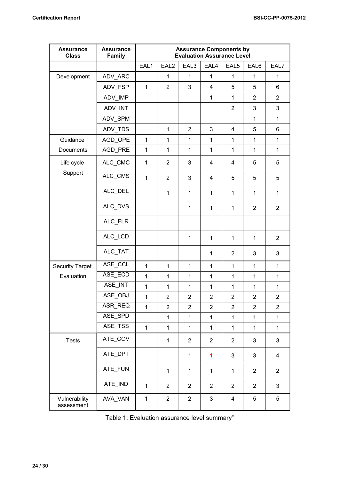| <b>Assurance</b><br><b>Class</b> | <b>Assurance</b><br><b>Family</b> | <b>Assurance Components by</b><br><b>Evaluation Assurance Level</b> |                  |                         |                         |                         |                         |                |
|----------------------------------|-----------------------------------|---------------------------------------------------------------------|------------------|-------------------------|-------------------------|-------------------------|-------------------------|----------------|
|                                  |                                   | EAL1                                                                | EAL <sub>2</sub> | EAL3                    | EAL4                    | EAL <sub>5</sub>        | EAL6                    | EAL7           |
| Development                      | ADV_ARC                           |                                                                     | 1                | 1                       | $\mathbf{1}$            | $\mathbf{1}$            | $\mathbf{1}$            | $\mathbf{1}$   |
|                                  | ADV_FSP                           | $\mathbf{1}$                                                        | 2                | 3                       | 4                       | 5                       | 5                       | 6              |
|                                  | ADV_IMP                           |                                                                     |                  |                         | $\mathbf 1$             | $\mathbf{1}$            | $\overline{2}$          | $\overline{2}$ |
|                                  | ADV_INT                           |                                                                     |                  |                         |                         | $\overline{2}$          | 3                       | 3              |
|                                  | ADV_SPM                           |                                                                     |                  |                         |                         |                         | 1                       | $\mathbf{1}$   |
|                                  | ADV_TDS                           |                                                                     | $\mathbf{1}$     | $\overline{2}$          | 3                       | 4                       | 5                       | 6              |
| Guidance                         | AGD_OPE                           | $\mathbf{1}$                                                        | 1                | $\mathbf{1}$            | $\mathbf{1}$            | $\mathbf{1}$            | $\mathbf{1}$            | $\mathbf{1}$   |
| Documents                        | AGD_PRE                           | $\mathbf{1}$                                                        | $\mathbf{1}$     | $\mathbf{1}$            | $\mathbf{1}$            | $\mathbf{1}$            | $\mathbf{1}$            | $\mathbf{1}$   |
| Life cycle                       | ALC_CMC                           | $\mathbf{1}$                                                        | $\overline{2}$   | 3                       | 4                       | 4                       | 5                       | 5              |
| Support                          | ALC_CMS                           | $\mathbf{1}$                                                        | $\overline{2}$   | 3                       | 4                       | 5                       | 5                       | 5              |
|                                  | ALC_DEL                           |                                                                     | $\mathbf{1}$     | $\mathbf{1}$            | $\mathbf 1$             | $\mathbf{1}$            | 1                       | $\mathbf{1}$   |
|                                  | ALC_DVS                           |                                                                     |                  | $\mathbf{1}$            | $\mathbf{1}$            | $\mathbf{1}$            | $\overline{2}$          | $\overline{2}$ |
|                                  | ALC_FLR                           |                                                                     |                  |                         |                         |                         |                         |                |
|                                  | ALC_LCD                           |                                                                     |                  | $\mathbf{1}$            | $\mathbf 1$             | $\mathbf{1}$            | $\mathbf{1}$            | $\overline{2}$ |
|                                  | ALC_TAT                           |                                                                     |                  |                         | $\mathbf{1}$            | $\overline{2}$          | 3                       | 3              |
| <b>Security Target</b>           | ASE_CCL                           | $\mathbf{1}$                                                        | $\mathbf{1}$     | $\mathbf{1}$            | $\mathbf 1$             | $\mathbf{1}$            | $\mathbf{1}$            | $\mathbf{1}$   |
| Evaluation                       | ASE_ECD                           | $\mathbf{1}$                                                        | $\mathbf{1}$     | $\mathbf{1}$            | $\mathbf 1$             | $\mathbf{1}$            | 1                       | $\mathbf{1}$   |
|                                  | ASE_INT                           | 1                                                                   | 1                | $\mathbf{1}$            | $\mathbf 1$             | $\mathbf{1}$            | 1                       | $\mathbf{1}$   |
|                                  | ASE_OBJ                           | $\mathbf{1}$                                                        | $\overline{2}$   | $\overline{\mathbf{c}}$ | $\overline{\mathbf{c}}$ | $\overline{\mathbf{c}}$ | $\overline{\mathbf{c}}$ | $\overline{c}$ |
|                                  | ASR_REQ                           | $\mathbf{1}$                                                        | $\overline{2}$   | $\overline{2}$          | $\overline{2}$          | $\overline{2}$          | $\overline{2}$          | $\overline{2}$ |
|                                  | ASE_SPD                           |                                                                     | $\mathbf{1}$     | $\mathbf 1$             | $\mathbf 1$             | $\mathbf 1$             | $\mathbf 1$             | $\mathbf{1}$   |
|                                  | ASE_TSS                           | $\mathbf 1$                                                         | $\mathbf{1}$     | $\mathbf 1$             | $\mathbf 1$             | $\mathbf{1}$            | $\mathbf 1$             | $\mathbf{1}$   |
| <b>Tests</b>                     | ATE_COV                           |                                                                     | $\mathbf{1}$     | $\overline{2}$          | $\overline{2}$          | $\overline{2}$          | 3                       | 3              |
|                                  | ATE_DPT                           |                                                                     |                  | $\mathbf{1}$            | 1                       | 3                       | 3                       | 4              |
|                                  | ATE_FUN                           |                                                                     | $\mathbf{1}$     | $\mathbf{1}$            | $\mathbf 1$             | $\mathbf{1}$            | $\overline{2}$          | $\overline{2}$ |
|                                  | ATE_IND                           | 1                                                                   | $\overline{2}$   | $\overline{2}$          | $\overline{2}$          | $\overline{2}$          | $\overline{2}$          | 3              |
| Vulnerability<br>assessment      | AVA_VAN                           | $\mathbf{1}$                                                        | $\overline{2}$   | $\overline{2}$          | 3                       | 4                       | 5                       | 5              |

Table 1: Evaluation assurance level summary"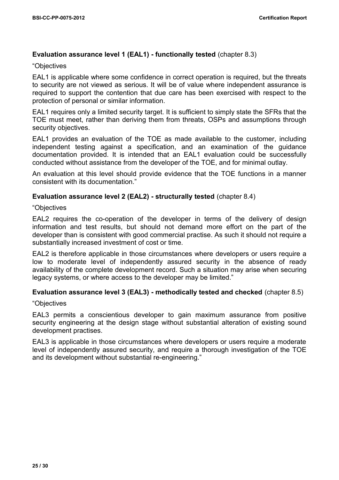### **Evaluation assurance level 1 (EAL1) - functionally tested** (chapter 8.3)

"Objectives

EAL1 is applicable where some confidence in correct operation is required, but the threats to security are not viewed as serious. It will be of value where independent assurance is required to support the contention that due care has been exercised with respect to the protection of personal or similar information.

EAL1 requires only a limited security target. It is sufficient to simply state the SFRs that the TOE must meet, rather than deriving them from threats, OSPs and assumptions through security objectives.

EAL1 provides an evaluation of the TOE as made available to the customer, including independent testing against a specification, and an examination of the guidance documentation provided. It is intended that an EAL1 evaluation could be successfully conducted without assistance from the developer of the TOE, and for minimal outlay.

An evaluation at this level should provide evidence that the TOE functions in a manner consistent with its documentation."

#### **Evaluation assurance level 2 (EAL2) - structurally tested** (chapter 8.4)

"Objectives

EAL2 requires the co-operation of the developer in terms of the delivery of design information and test results, but should not demand more effort on the part of the developer than is consistent with good commercial practise. As such it should not require a substantially increased investment of cost or time.

EAL2 is therefore applicable in those circumstances where developers or users require a low to moderate level of independently assured security in the absence of ready availability of the complete development record. Such a situation may arise when securing legacy systems, or where access to the developer may be limited."

### **Evaluation assurance level 3 (EAL3) - methodically tested and checked** (chapter 8.5)

"Objectives

EAL3 permits a conscientious developer to gain maximum assurance from positive security engineering at the design stage without substantial alteration of existing sound development practises.

EAL3 is applicable in those circumstances where developers or users require a moderate level of independently assured security, and require a thorough investigation of the TOE and its development without substantial re-engineering."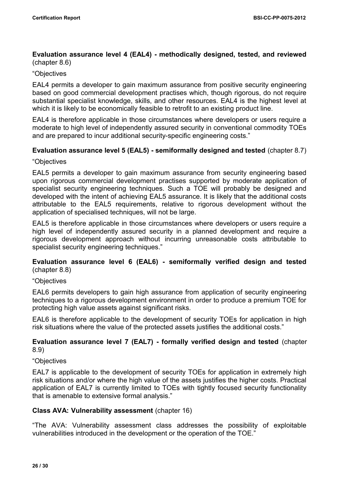### **Evaluation assurance level 4 (EAL4) - methodically designed, tested, and reviewed** (chapter 8.6)

## "Objectives

EAL4 permits a developer to gain maximum assurance from positive security engineering based on good commercial development practises which, though rigorous, do not require substantial specialist knowledge, skills, and other resources. EAL4 is the highest level at which it is likely to be economically feasible to retrofit to an existing product line.

EAL4 is therefore applicable in those circumstances where developers or users require a moderate to high level of independently assured security in conventional commodity TOEs and are prepared to incur additional security-specific engineering costs."

## **Evaluation assurance level 5 (EAL5) - semiformally designed and tested** (chapter 8.7)

## "Objectives

EAL5 permits a developer to gain maximum assurance from security engineering based upon rigorous commercial development practises supported by moderate application of specialist security engineering techniques. Such a TOE will probably be designed and developed with the intent of achieving EAL5 assurance. It is likely that the additional costs attributable to the EAL5 requirements, relative to rigorous development without the application of specialised techniques, will not be large.

EAL5 is therefore applicable in those circumstances where developers or users require a high level of independently assured security in a planned development and require a rigorous development approach without incurring unreasonable costs attributable to specialist security engineering techniques."

## **Evaluation assurance level 6 (EAL6) - semiformally verified design and tested** (chapter 8.8)

### "Objectives

EAL6 permits developers to gain high assurance from application of security engineering techniques to a rigorous development environment in order to produce a premium TOE for protecting high value assets against significant risks.

EAL6 is therefore applicable to the development of security TOEs for application in high risk situations where the value of the protected assets justifies the additional costs."

## **Evaluation assurance level 7 (EAL7) - formally verified design and tested** (chapter 8.9)

### "Objectives

EAL7 is applicable to the development of security TOEs for application in extremely high risk situations and/or where the high value of the assets justifies the higher costs. Practical application of EAL7 is currently limited to TOEs with tightly focused security functionality that is amenable to extensive formal analysis."

## **Class AVA: Vulnerability assessment** (chapter 16)

"The AVA: Vulnerability assessment class addresses the possibility of exploitable vulnerabilities introduced in the development or the operation of the TOE."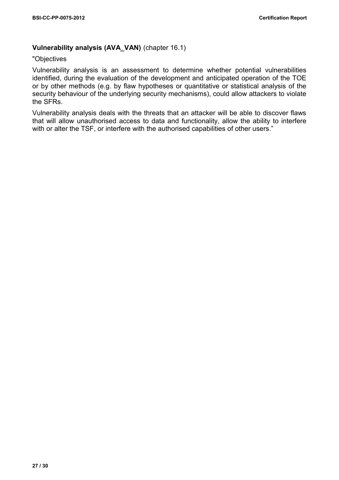## **Vulnerability analysis (AVA\_VAN)** (chapter 16.1)

### "Objectives

Vulnerability analysis is an assessment to determine whether potential vulnerabilities identified, during the evaluation of the development and anticipated operation of the TOE or by other methods (e.g. by flaw hypotheses or quantitative or statistical analysis of the security behaviour of the underlying security mechanisms), could allow attackers to violate the SFRs.

Vulnerability analysis deals with the threats that an attacker will be able to discover flaws that will allow unauthorised access to data and functionality, allow the ability to interfere with or alter the TSF, or interfere with the authorised capabilities of other users."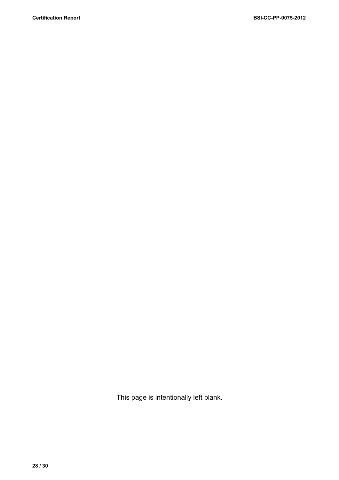This page is intentionally left blank.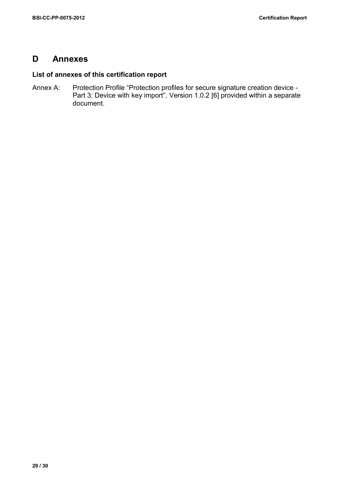## **D Annexes**

## **List of annexes of this certification report**

Annex A: Protection Profile "Protection profiles for secure signature creation device - Part 3: Device with key import", Version 1.0.2 [6] provided within a separate document.